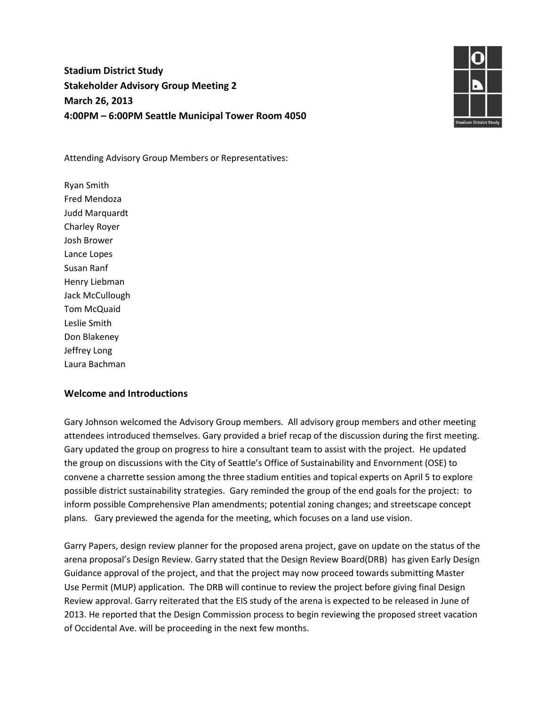# **Stadium District Study Stakeholder Advisory Group Meeting 2 March 26, 2013 4:00PM – 6:00PM Seattle Municipal Tower Room 4050**



Attending Advisory Group Members or Representatives:

Ryan Smith Fred Mendoza Judd Marquardt Charley Royer Josh Brower Lance Lopes Susan Ranf Henry Liebman Jack McCullough Tom McQuaid Leslie Smith Don Blakeney Jeffrey Long Laura Bachman

#### **Welcome and Introductions**

Gary Johnson welcomed the Advisory Group members. All advisory group members and other meeting attendees introduced themselves. Gary provided a brief recap of the discussion during the first meeting. Gary updated the group on progress to hire a consultant team to assist with the project. He updated the group on discussions with the City of Seattle's Office of Sustainability and Envornment (OSE) to convene a charrette session among the three stadium entities and topical experts on April 5 to explore possible district sustainability strategies. Gary reminded the group of the end goals for the project: to inform possible Comprehensive Plan amendments; potential zoning changes; and streetscape concept plans. Gary previewed the agenda for the meeting, which focuses on a land use vision.

Garry Papers, design review planner for the proposed arena project, gave on update on the status of the arena proposal's Design Review. Garry stated that the Design Review Board(DRB) has given Early Design Guidance approval of the project, and that the project may now proceed towards submitting Master Use Permit (MUP) application. The DRB will continue to review the project before giving final Design Review approval. Garry reiterated that the EIS study of the arena is expected to be released in June of 2013. He reported that the Design Commission process to begin reviewing the proposed street vacation of Occidental Ave. will be proceeding in the next few months.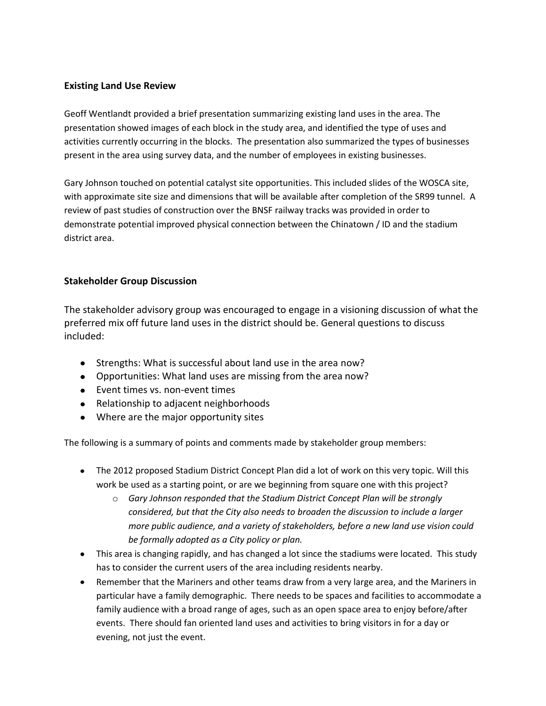### **Existing Land Use Review**

Geoff Wentlandt provided a brief presentation summarizing existing land uses in the area. The presentation showed images of each block in the study area, and identified the type of uses and activities currently occurring in the blocks. The presentation also summarized the types of businesses present in the area using survey data, and the number of employees in existing businesses.

Gary Johnson touched on potential catalyst site opportunities. This included slides of the WOSCA site, with approximate site size and dimensions that will be available after completion of the SR99 tunnel. A review of past studies of construction over the BNSF railway tracks was provided in order to demonstrate potential improved physical connection between the Chinatown / ID and the stadium district area.

### **Stakeholder Group Discussion**

The stakeholder advisory group was encouraged to engage in a visioning discussion of what the preferred mix off future land uses in the district should be. General questions to discuss included:

- Strengths: What is successful about land use in the area now?
- Opportunities: What land uses are missing from the area now?
- Event times vs. non-event times
- Relationship to adjacent neighborhoods
- Where are the major opportunity sites

The following is a summary of points and comments made by stakeholder group members:

- The 2012 proposed Stadium District Concept Plan did a lot of work on this very topic. Will this work be used as a starting point, or are we beginning from square one with this project?
	- o *Gary Johnson responded that the Stadium District Concept Plan will be strongly considered, but that the City also needs to broaden the discussion to include a larger more public audience, and a variety of stakeholders, before a new land use vision could be formally adopted as a City policy or plan.*
- This area is changing rapidly, and has changed a lot since the stadiums were located. This study has to consider the current users of the area including residents nearby.
- Remember that the Mariners and other teams draw from a very large area, and the Mariners in particular have a family demographic. There needs to be spaces and facilities to accommodate a family audience with a broad range of ages, such as an open space area to enjoy before/after events. There should fan oriented land uses and activities to bring visitors in for a day or evening, not just the event.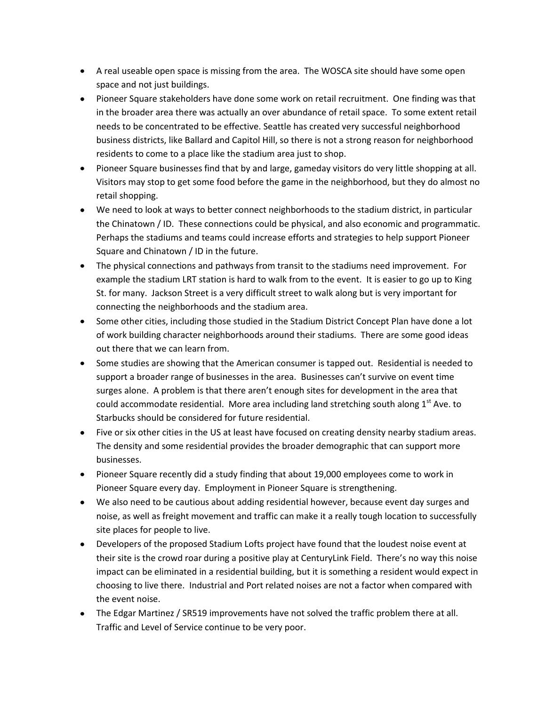- A real useable open space is missing from the area. The WOSCA site should have some open space and not just buildings.
- Pioneer Square stakeholders have done some work on retail recruitment. One finding was that in the broader area there was actually an over abundance of retail space. To some extent retail needs to be concentrated to be effective. Seattle has created very successful neighborhood business districts, like Ballard and Capitol Hill, so there is not a strong reason for neighborhood residents to come to a place like the stadium area just to shop.
- Pioneer Square businesses find that by and large, gameday visitors do very little shopping at all. Visitors may stop to get some food before the game in the neighborhood, but they do almost no retail shopping.
- We need to look at ways to better connect neighborhoods to the stadium district, in particular the Chinatown / ID. These connections could be physical, and also economic and programmatic. Perhaps the stadiums and teams could increase efforts and strategies to help support Pioneer Square and Chinatown / ID in the future.
- The physical connections and pathways from transit to the stadiums need improvement. For example the stadium LRT station is hard to walk from to the event. It is easier to go up to King St. for many. Jackson Street is a very difficult street to walk along but is very important for connecting the neighborhoods and the stadium area.
- Some other cities, including those studied in the Stadium District Concept Plan have done a lot of work building character neighborhoods around their stadiums. There are some good ideas out there that we can learn from.
- Some studies are showing that the American consumer is tapped out. Residential is needed to support a broader range of businesses in the area. Businesses can't survive on event time surges alone. A problem is that there aren't enough sites for development in the area that could accommodate residential. More area including land stretching south along  $1<sup>st</sup>$  Ave. to Starbucks should be considered for future residential.
- Five or six other cities in the US at least have focused on creating density nearby stadium areas. The density and some residential provides the broader demographic that can support more businesses.
- Pioneer Square recently did a study finding that about 19,000 employees come to work in Pioneer Square every day. Employment in Pioneer Square is strengthening.
- We also need to be cautious about adding residential however, because event day surges and noise, as well as freight movement and traffic can make it a really tough location to successfully site places for people to live.
- Developers of the proposed Stadium Lofts project have found that the loudest noise event at their site is the crowd roar during a positive play at CenturyLink Field. There's no way this noise impact can be eliminated in a residential building, but it is something a resident would expect in choosing to live there. Industrial and Port related noises are not a factor when compared with the event noise.
- The Edgar Martinez / SR519 improvements have not solved the traffic problem there at all. Traffic and Level of Service continue to be very poor.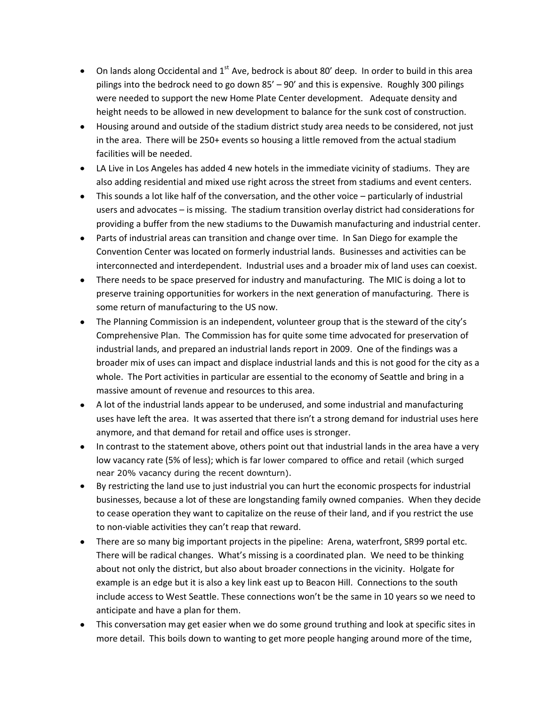- On lands along Occidental and  $1<sup>st</sup>$  Ave, bedrock is about 80' deep. In order to build in this area pilings into the bedrock need to go down 85' – 90' and this is expensive. Roughly 300 pilings were needed to support the new Home Plate Center development. Adequate density and height needs to be allowed in new development to balance for the sunk cost of construction.
- Housing around and outside of the stadium district study area needs to be considered, not just in the area. There will be 250+ events so housing a little removed from the actual stadium facilities will be needed.
- LA Live in Los Angeles has added 4 new hotels in the immediate vicinity of stadiums. They are also adding residential and mixed use right across the street from stadiums and event centers.
- This sounds a lot like half of the conversation, and the other voice particularly of industrial users and advocates – is missing. The stadium transition overlay district had considerations for providing a buffer from the new stadiums to the Duwamish manufacturing and industrial center.
- Parts of industrial areas can transition and change over time. In San Diego for example the Convention Center was located on formerly industrial lands. Businesses and activities can be interconnected and interdependent. Industrial uses and a broader mix of land uses can coexist.
- There needs to be space preserved for industry and manufacturing. The MIC is doing a lot to preserve training opportunities for workers in the next generation of manufacturing. There is some return of manufacturing to the US now.
- The Planning Commission is an independent, volunteer group that is the steward of the city's Comprehensive Plan. The Commission has for quite some time advocated for preservation of industrial lands, and prepared an industrial lands report in 2009. One of the findings was a broader mix of uses can impact and displace industrial lands and this is not good for the city as a whole. The Port activities in particular are essential to the economy of Seattle and bring in a massive amount of revenue and resources to this area.
- A lot of the industrial lands appear to be underused, and some industrial and manufacturing uses have left the area. It was asserted that there isn't a strong demand for industrial uses here anymore, and that demand for retail and office uses is stronger.
- In contrast to the statement above, others point out that industrial lands in the area have a very low vacancy rate (5% of less); which is far lower compared to office and retail (which surged near 20% vacancy during the recent downturn).
- By restricting the land use to just industrial you can hurt the economic prospects for industrial businesses, because a lot of these are longstanding family owned companies. When they decide to cease operation they want to capitalize on the reuse of their land, and if you restrict the use to non-viable activities they can't reap that reward.
- There are so many big important projects in the pipeline: Arena, waterfront, SR99 portal etc. There will be radical changes. What's missing is a coordinated plan. We need to be thinking about not only the district, but also about broader connections in the vicinity. Holgate for example is an edge but it is also a key link east up to Beacon Hill. Connections to the south include access to West Seattle. These connections won't be the same in 10 years so we need to anticipate and have a plan for them.
- This conversation may get easier when we do some ground truthing and look at specific sites in more detail. This boils down to wanting to get more people hanging around more of the time,